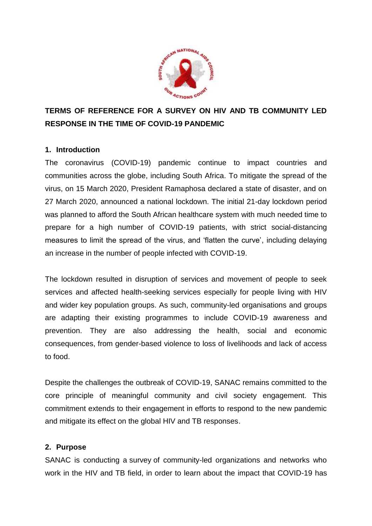

# **TERMS OF REFERENCE FOR A SURVEY ON HIV AND TB COMMUNITY LED RESPONSE IN THE TIME OF COVID-19 PANDEMIC**

#### **1. Introduction**

The coronavirus (COVID-19) pandemic continue to impact countries and communities across the globe, including South Africa. To mitigate the spread of the virus, on 15 March 2020, President Ramaphosa declared a state of disaster, and on 27 March 2020, announced a national lockdown. The initial 21-day lockdown period was planned to afford the South African healthcare system with much needed time to prepare for a high number of COVID-19 patients, with strict social-distancing measures to limit the spread of the virus, and 'flatten the curve', including delaying an increase in the number of people infected with COVID-19.

The lockdown resulted in disruption of services and movement of people to seek services and affected health-seeking services especially for people living with HIV and wider key population groups. As such, community-led organisations and groups are adapting their existing programmes to include COVID-19 awareness and prevention. They are also addressing the health, social and economic consequences, from gender-based violence to loss of livelihoods and lack of access to food.

Despite the challenges the outbreak of COVID-19, SANAC remains committed to the core principle of meaningful community and civil society engagement. This commitment extends to their engagement in efforts to respond to the new pandemic and mitigate its effect on the global HIV and TB responses.

#### **2. Purpose**

SANAC is conducting a [survey](https://unaids.us4.list-manage.com/track/click?u=f40a9f8808ca831128eb0af44&id=df0ec9b805&e=4e97a485d8) of community-led organizations and networks who work in the HIV and TB field, in order to learn about the impact that COVID-19 has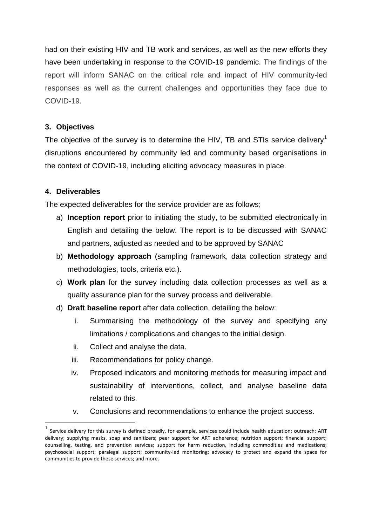had on their existing HIV and TB work and services, as well as the new efforts they have been undertaking in response to the COVID-19 pandemic. The findings of the report will inform SANAC on the critical role and impact of HIV community-led responses as well as the current challenges and opportunities they face due to COVID-19.

#### **3. Objectives**

The objective of the survey is to determine the HIV, TB and STIs service delivery<sup>1</sup> disruptions encountered by community led and community based organisations in the context of COVID-19, including eliciting advocacy measures in place.

## **4. Deliverables**

**.** 

The expected deliverables for the service provider are as follows;

- a) **Inception report** prior to initiating the study, to be submitted electronically in English and detailing the below. The report is to be discussed with SANAC and partners, adjusted as needed and to be approved by SANAC
- b) **Methodology approach** (sampling framework, data collection strategy and methodologies, tools, criteria etc.).
- c) **Work plan** for the survey including data collection processes as well as a quality assurance plan for the survey process and deliverable.
- d) **Draft baseline report** after data collection, detailing the below:
	- i. Summarising the methodology of the survey and specifying any limitations / complications and changes to the initial design.
	- ii. Collect and analyse the data.
	- iii. Recommendations for policy change.
	- iv. Proposed indicators and monitoring methods for measuring impact and sustainability of interventions, collect, and analyse baseline data related to this.
	- v. Conclusions and recommendations to enhance the project success.

 $<sup>1</sup>$  Service delivery for this survey is defined broadly, for example, services could include health education; outreach; ART</sup> delivery; supplying masks, soap and sanitizers; peer support for ART adherence; nutrition support; financial support; counselling, testing, and prevention services; support for harm reduction, including commodities and medications; psychosocial support; paralegal support; community-led monitoring; advocacy to protect and expand the space for communities to provide these services; and more.